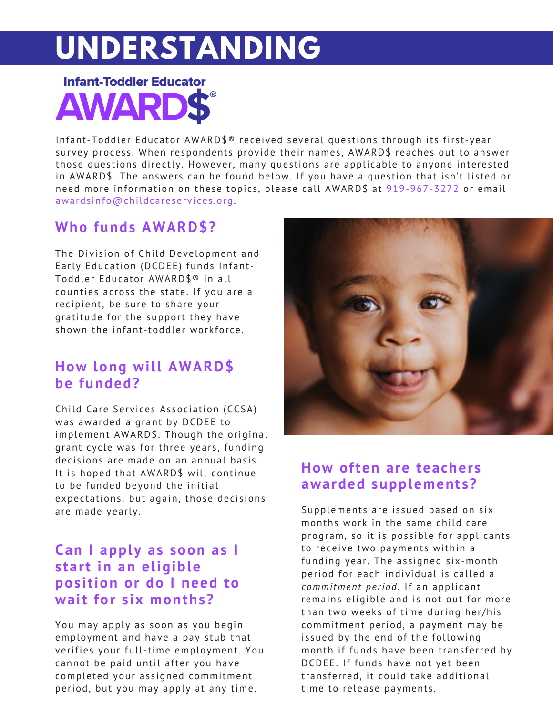# **UNDERSTANDING**



Infant-Toddler Educator  $AWARD$^{\circ}$  received several questions through its first-year survey process. When respondents provide their names, AWARD\$ reaches out to answer those questions directly. However, many questions are applicable to anyone interested in AWARD\$. The answers can be found below. If you have a question that isn't listed or need more information on these topics, please call AWARD\$ at [919-967-3272](https://www.childcareservices.org/programs/awards/contact/) or email awards [info@childcareservices](https://www.childcareservices.org/programs/awards/contact/) .org.

# **Who funds AWARD\$?**

The Division of Child Development and Early Education (DCDEE) funds Infant-Toddler Educator AWARD\$® in all counties across the state. If you are a recipient, be sure to share your gratitude for the support they have shown the infant-toddler workforce.

## **How long will AWARD\$ be funded?**

Child Care Services Association (CCSA) was awarded a grant by DCDEE to implement AWARD\$. Though the original grant cycle was for three years, funding decisions are made on an annual basis. It is hoped that AWARD\$ will continue to be funded beyond the initial expectations, but again, those decisions are made yearly.

# **Can I apply as soon as I s tart in an eligible pos ition or do I need to wait for s ix months?**

You may apply as soon as you begin employment and have a pay stub that verifies your full-time employment. You cannot be paid until after you have completed your assigned commitment period, but you may apply at any time.



# **How often are teacher s awarded supplement s?**

Supplements are issued based on six months work in the same child care program, so it is possible for applicants to receive two payments within a funding year. The assigned six-month period for each individual is called a *commitment period*. If an applicant remains eligible and is not out for more than two weeks of time during her/his commitment period, a payment may be issued by the end of the following month if funds have been transferred by DCDEE. If funds have not yet been trans ferred, it could take additional time to release payments.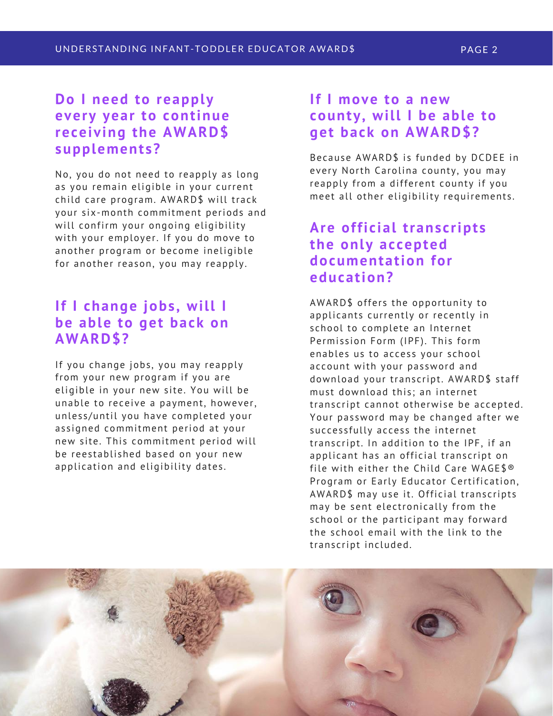## **Do I need to reapply every year to continue receiving the AWARD\$** supplements?

No, you do not need to reapply as long as you remain eligible in your current child care program. AWARD\$ will track your six-month commitment periods and will confirm your ongoing eligibility with your employer. If you do move to another program or become ineligible for another reason, you may reapply.

#### **If I change jobs , will I be able to get back on AWARD\$?**

If you change jobs, you may reapply from your new program if you are eligible in your new site. You will be unable to receive a payment, however, unless/until you have completed your assigned commitment period at your new site. This commitment period will be reestablished based on your new application and eligibility dates.

#### **If I move to a new county, will I be able to get back on AWARD\$?**

Because AWARD\$ is funded by DCDEE in every North Carolina county, you may reapply from a different county if you meet all other eligibility requirements.

## **Are offi c ial trans c ript s the only ac cepted documentation for education?**

AWARD\$ offers the opportunity to applicants currently or recently in school to complete an Internet Permission Form (IPF). This form enables us to access your school account with your password and download your transcript. AWARD\$ staff must download this: an internet transcript cannot otherwise be accepted. Your password may be changed after we successfully access the internet transcript. In addition to the IPF, if an applicant has an official transcript on file with either the Child Care WAGE\$® Program or Early Educator Certification, AWARD\$ may use it. Official transcripts may be sent electronically from the school or the participant may forward the school email with the link to the transcript included.

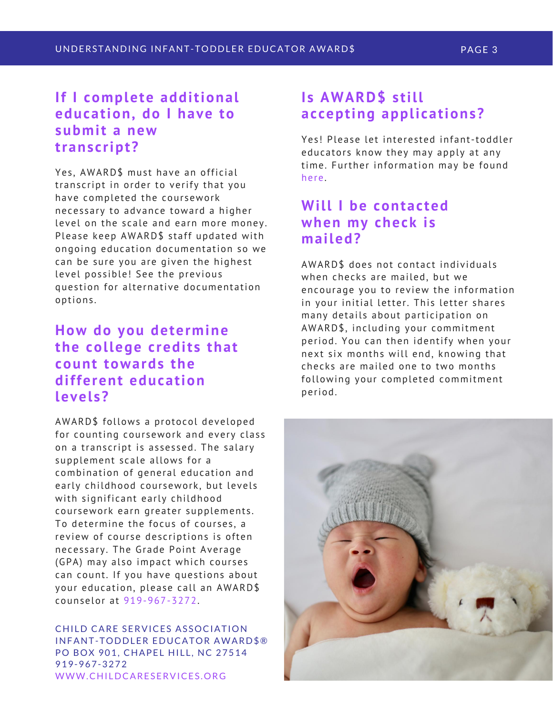#### **If I complete additional education, do I have to submit a new trans c ript?**

Yes, AWARD\$ must have an official transcript in order to verify that you have completed the coursework neces sary to advance toward a higher level on the scale and earn more money. Please keep AWARD\$ staff updated with ongoing education documentation so we can be sure you are given the highest level possible! See the previous ques tion for alternative documentation options .

# **How do you determine the college c redit s that count towards the different education level s?**

AWARD\$ follows a protocol developed for counting coursework and every class on a transcript is assessed. The salary supplement scale allows for a combination of general education and early childhood coursework, but levels with significant early childhood coursework earn greater supplements. To determine the focus of courses, a review of course descriptions is often necessary. The Grade Point Average (GPA) may also impact which courses can count. If you have questions about your education, please call an AWARD\$ counselor at 919-967-3272.

CHILD CARE SERVICES ASSOCIATION INFANT-TODDLER EDUCATOR AWARD\$® PO BOX 901, CHAPEL HILL, NC 27514 919-967-3272 WWW.CHI[LDCARESERVICES.ORG](http://www.childcareservices.org/)

# **I s AWARD\$ s till ac cepting appli cations?**

Yes! Please let interested [infant-toddler](https://www.childcareservices.org/awards/how-do-i-apply/) educators know they may apply at any time. Further information may be found here.

#### **Will I** be contacted **when my check i s mailed?**

AWARD\$ does not contact individuals when checks are mailed, but we encourage you to review the information in your initial letter. This letter shares many details about participation on AWARD\$, including your commitment period. You can then identify when your next six months will end, knowing that checks are mailed one to two months following your completed commitment period.